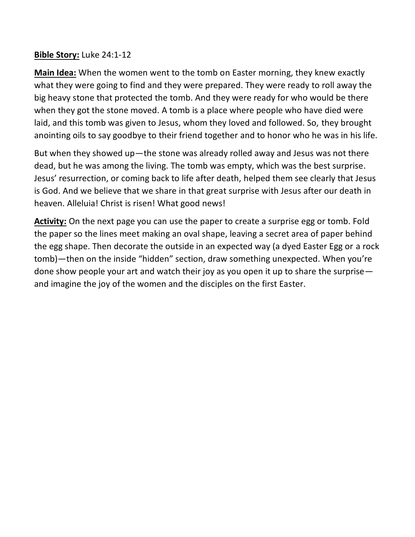## **Bible Story:** Luke 24:1-12

**Main Idea:** When the women went to the tomb on Easter morning, they knew exactly what they were going to find and they were prepared. They were ready to roll away the big heavy stone that protected the tomb. And they were ready for who would be there when they got the stone moved. A tomb is a place where people who have died were laid, and this tomb was given to Jesus, whom they loved and followed. So, they brought anointing oils to say goodbye to their friend together and to honor who he was in his life.

But when they showed up—the stone was already rolled away and Jesus was not there dead, but he was among the living. The tomb was empty, which was the best surprise. Jesus' resurrection, or coming back to life after death, helped them see clearly that Jesus is God. And we believe that we share in that great surprise with Jesus after our death in heaven. Alleluia! Christ is risen! What good news!

**Activity:** On the next page you can use the paper to create a surprise egg or tomb. Fold the paper so the lines meet making an oval shape, leaving a secret area of paper behind the egg shape. Then decorate the outside in an expected way (a dyed Easter Egg or a rock tomb)—then on the inside "hidden" section, draw something unexpected. When you're done show people your art and watch their joy as you open it up to share the surprise and imagine the joy of the women and the disciples on the first Easter.